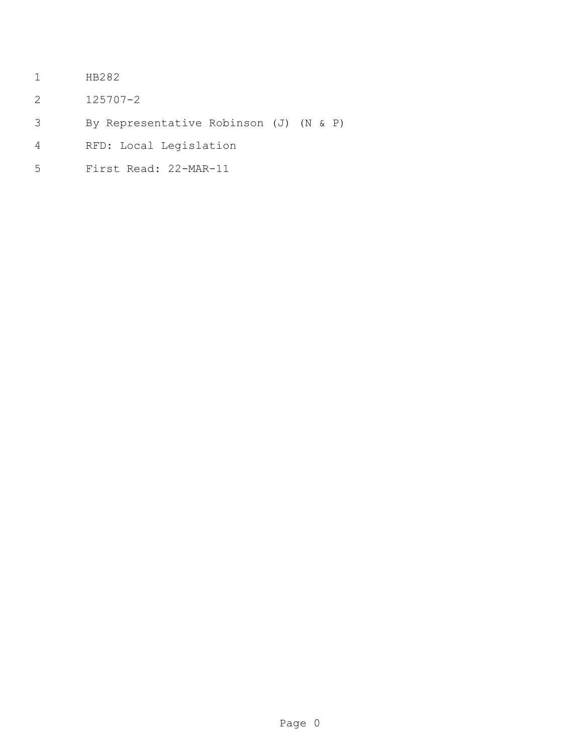- HB282
- 125707-2
- By Representative Robinson (J) (N & P)
- RFD: Local Legislation
- First Read: 22-MAR-11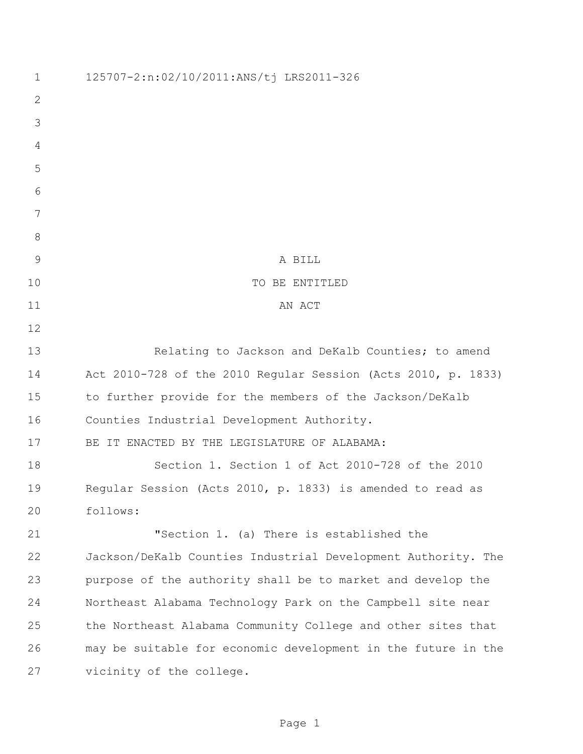| $\mathbf 1$    | 125707-2:n:02/10/2011:ANS/tj LRS2011-326                      |
|----------------|---------------------------------------------------------------|
| $\mathbf{2}$   |                                                               |
| 3              |                                                               |
| $\overline{4}$ |                                                               |
| 5              |                                                               |
| 6              |                                                               |
| 7              |                                                               |
| $8\,$          |                                                               |
| $\mathcal{G}$  | A BILL                                                        |
| 10             | TO BE ENTITLED                                                |
| 11             | AN ACT                                                        |
| 12             |                                                               |
| 13             | Relating to Jackson and DeKalb Counties; to amend             |
| 14             | Act 2010-728 of the 2010 Regular Session (Acts 2010, p. 1833) |
| 15             | to further provide for the members of the Jackson/DeKalb      |
| 16             | Counties Industrial Development Authority.                    |
| 17             | BE IT ENACTED BY THE LEGISLATURE OF ALABAMA:                  |
| 18             | Section 1. Section 1 of Act 2010-728 of the 2010              |
| 19             | Regular Session (Acts 2010, p. 1833) is amended to read as    |
| 20             | follows:                                                      |
| 21             | "Section 1. (a) There is established the                      |
| 22             | Jackson/DeKalb Counties Industrial Development Authority. The |
| 23             | purpose of the authority shall be to market and develop the   |
| 24             | Northeast Alabama Technology Park on the Campbell site near   |
| 25             | the Northeast Alabama Community College and other sites that  |
| 26             | may be suitable for economic development in the future in the |
| 27             | vicinity of the college.                                      |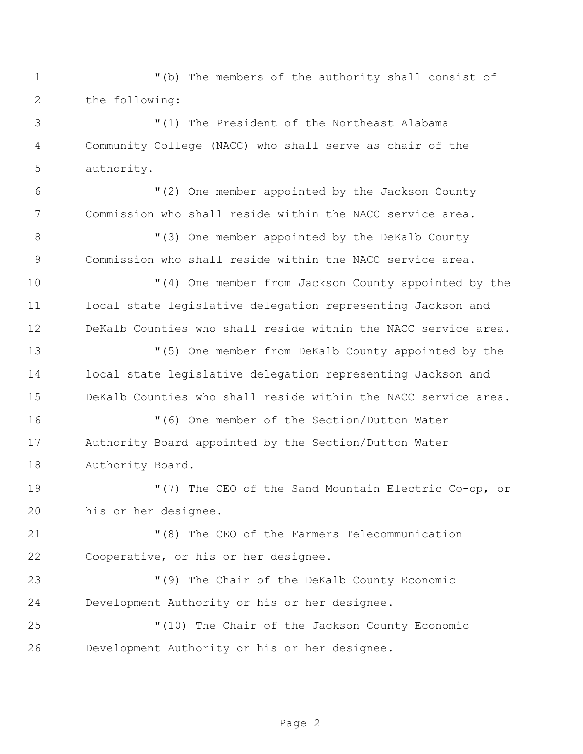"(b) The members of the authority shall consist of the following:

 "(1) The President of the Northeast Alabama Community College (NACC) who shall serve as chair of the authority.

 "(2) One member appointed by the Jackson County Commission who shall reside within the NACC service area.

8  $\blacksquare$  (3) One member appointed by the DeKalb County Commission who shall reside within the NACC service area.

 "(4) One member from Jackson County appointed by the local state legislative delegation representing Jackson and DeKalb Counties who shall reside within the NACC service area.

 "(5) One member from DeKalb County appointed by the local state legislative delegation representing Jackson and DeKalb Counties who shall reside within the NACC service area.

 "(6) One member of the Section/Dutton Water Authority Board appointed by the Section/Dutton Water Authority Board.

 "(7) The CEO of the Sand Mountain Electric Co-op, or his or her designee.

 "(8) The CEO of the Farmers Telecommunication Cooperative, or his or her designee.

 "(9) The Chair of the DeKalb County Economic Development Authority or his or her designee.

 "(10) The Chair of the Jackson County Economic Development Authority or his or her designee.